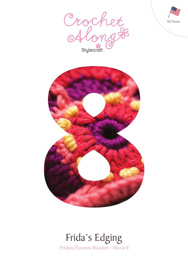





# Frida's Flowers Blanket – Block 8 Frida's Edging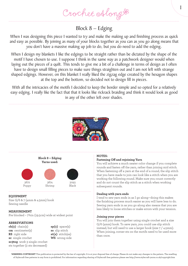Crochet Along &

## Block 8 – Edging

When I was designing this piece I wanted to try and make the making up and finishing process as quick and easy as possible. By joining as many of your blocks together as you can as you go along means that you don't have a massive making up job to do, but you do need to add the edging.

When I design my blankets I like the edgings to be straight rather than be dictated by the shape of the motif I have chosen to use. I suppose I think in the same way as a patchwork designer would when laying out the pieces of a quilt. This tends to give me a bit of a challenge in terms of design as I often have to design small filling pieces to make sure things straighten out and I am not left with strange shaped edgings. However, on this blanket I really liked the zigzag edge created by the hexagon shapes at the top and the bottom, so decided not to design fill in pieces.

With all the intricacies of the motifs I decided to keep the border simple and so opted for a relatively easy edging. I really like the fact that that it looks like rickrack braiding and think it would look as good in any of the other left over shades.





## **EQUIPMENT**

Size G/6 & 7 (4mm & 4.5mm) hook Sewing needle

## **MEASUREMENT**

Pre blocked – 7¾in (19.5cm) wide at widest point

## **ABBREVIATIONS**

**ch(s)** chain(s) **cm** centimeter(s) **RS** right side **sc** single crochet **sc3tog** work 3 single crochet sts together (2 sts decreased)

**sp(s)** space(s) **ss** slip stitch **st(s)** stitch(es) **WS** wrong side

## **NOTES:**

## **Fastening Off and rejoining Yarn**

You will achieve a much neater color change if you complete rounds and fasten off the yarn, rather than joining mid stitch. When fastening off a yarn at the end of a round, the slip stitch that you have made to join can look like a stitch when you are working the following round. Make sure you count correctly and do not count the slip stitch as a stitch when working subsequent rounds.

1

#### **Dealing with yarn ends**

I tend to sew yarn ends in as I go along—doing this makes the finishing process much easier as you will have less to do. Sewing yarn ends in as you go along also means that you are less likely to loose stitches or make errors with your tension.

## **Joining your pieces**

You will join them together using single crochet and a size G/6 (4mm) hook. To save yarn, you could use slip stitch instead, but will need to use a larger hook (size 7 / 4.5mm). When joining, corner sts on the motifs need to be used more than once.

**WARNING-COPYRIGHT** This publication is protected by the law of copyright. It is at your disposal free of charge. Please do not make any changes to the pattern. The reselling of Stylecraft free patterns in any form is prohibited. For information regarding sharing of Stylecraft free patterns please see http://www.stylecraft-yarns.co.uk/copyright.htm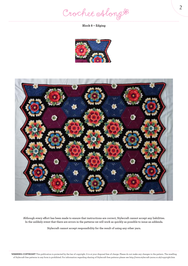Crochet Along #

**Block 8 – Edging**





**Although every effort has been made to ensure that instructions are correct, Stylecraft cannot accept any liabilities. In the unlikely event that there are errors in the patterns we will work as quickly as possible to issue an addenda.**

**Stylecraft cannot accept responsibility for the result of using any other yarn.**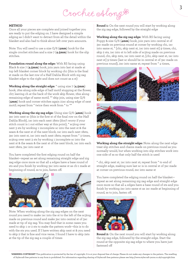Crochet Along &

## **METHOD**

Once all your pieces are complete and joined together you are ready to put the edging on. I have designed a simple edging as I didn't want to detract from all the detail within the blanket and also had to think about left over yarn amounts.

Note: You will need to use a size G/6 (**4mm**) hook for the single crochet stitches and a size 7 (**4.5mm**) hook for the slip stitches.

**Foundation round along the edge:** With RS facing using Black & size 7 (**4.5mm**) hook, join yarn into last st made at top left blanket corner block by working ch1 (this is the final st made on the last row of a Half Dahlia Block with zig zag blanket edge to the right and does not count as a st)

**Working along the straight edge:** \* using size 7 (**4.5mm**) hook, 16ss along side edge of half motif stopping at the flower, ch7, leaving ch at the back of the work skip flower, 16ss along remaining edge of same motif, \*\* skip join, using size G/6 (**4mm**) hook and corner stitches again 21sc along edge of next motif; repeat from \* twice then work from \* to \*\*

**Working along the zig zag edge:** Using size G/6 (**4mm**) hook 3sc into next sc (this is the first st of the final row on the Half Dahlia Block), 1sc into each next 18sts (don't worry if your stitch count is 1 out either way at this point), \* sc3tog over next 3 sts by working 1 incomplete sc into the next st & the seam & the next st of the next block, 1sc into each next 18sts, 3sc into next st, 1sc into each next 18sts; repeat from \* 3 times, sc3tog over next 3 sts by working 1 incomplete sc into the next st & the seam & the next st of the next block, 1sc into each next 18sts, 3sc into next st

You have completed the first edging round on half the blanket—repeat as set along remaining straight edge and zig zag edge once more so that all 4 edges have a base round of sts and you finish by working 3sc into same st as ch-1 made at beginning of round, ss to join, fasten off.



Note: When working along the zig zag edges on the next round you need to make 1sc into the st to the left of the sc3tog made on previous round and make 3sc into central st of 3sc made at tip of zig zag. You may find that in some cases you need to skip 1 or 2 sts to make the pattern work—this is to do with the sts you used. If I have written skip next st & you need to skip 2 that is fine and vice versa. I found I have to skip 2sts at the tip of the zig zag a couple of times

**Round 1:** On the next round you will start by working along the zig zag edge, followed by the straight edge

**Working along the zig zag edge:** With RS facing using Poppy & size G/6 (**4mm**) hook, join yarn into central st of 3sc made on previous round at corner by working ch1, 1sc into same st, \* [ch1, skip next st, 1sc into next st] 9 times, ch1, skip 2 sts, 1sc into st to left side of sc3tog made on previous round, ch1, skip 2sts, 1sc into next st, [ch1, skip next st, 1sc into next st] 9 times (last sc should be in central st of 3sc made on previous round), 2sc into same st; repeat from \* 4 times,







**Working along the straight edge:** Note: along the next edge treat slip stitches and chains made on previous round as you normally would, but when working into slip stitches work into one side of ss so that only half the stitch is used

\* ch1, skip next st, 1sc into next st; repeat from \* to end of straight edge, making sure last sc is in central st of 3sc made at corner on previous round, 2sc into same st

You have completed the edging round on half the blanket repeat as set along remaining zig zag edge and straight edge once more so that all 4 edges have a base round of sts and you finish by working 2sc into same st as 1sc made at beginning of round, ss to join, fasten off.



**Round 2:** On the next round you will start by working along the zig zag edge, followed by the straight edge. Start the round at the opposite zig zag edge to where you have just fastened off

**WARNING-COPYRIGHT** This publication is protected by the law of copyright. It is at your disposal free of charge. Please do not make any changes to the pattern. The reselling of Stylecraft free patterns in any form is prohibited. For information regarding sharing of Stylecraft free patterns please see http://www.stylecraft-yarns.co.uk/copyright.htm